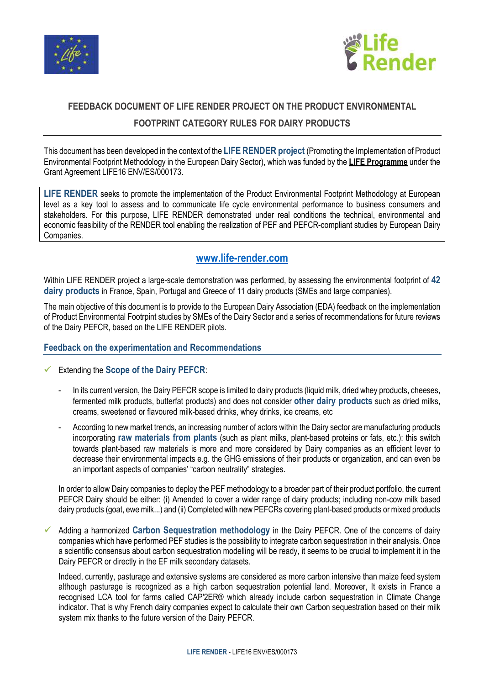



## **FEEDBACK DOCUMENT OF LIFE RENDER PROJECT ON THE PRODUCT ENVIRONMENTAL FOOTPRINT CATEGORY RULES FOR DAIRY PRODUCTS**

This document has been developed in the context of the **LIFE RENDER project** (Promoting the Implementation of Product Environmental Footprint Methodology in the European Dairy Sector), which was funded by the **LIFE Programme** under the Grant Agreement LIFE16 ENV/ES/000173.

**LIFE RENDER** seeks to promote the implementation of the Product Environmental Footprint Methodology at European level as a key tool to assess and to communicate life cycle environmental performance to business consumers and stakeholders. For this purpose, LIFE RENDER demonstrated under real conditions the technical, environmental and economic feasibility of the RENDER tool enabling the realization of PEF and PEFCR-compliant studies by European Dairy Companies.

## **www.life-render.com**

Within LIFE RENDER project a large-scale demonstration was performed, by assessing the environmental footprint of **42 dairy products** in France, Spain, Portugal and Greece of 11 dairy products (SMEs and large companies).

The main objective of this document is to provide to the European Dairy Association (EDA) feedback on the implementation of Product Environmental Footrpint studies by SMEs of the Dairy Sector and a series of recommendations for future reviews of the Dairy PEFCR, based on the LIFE RENDER pilots.

## **Feedback on the experimentation and Recommendations**

- Extending the **Scope of the Dairy PEFCR**:
	- In its current version, the Dairy PEFCR scope is limited to dairy products (liquid milk, dried whey products, cheeses, fermented milk products, butterfat products) and does not consider **other dairy products** such as dried milks, creams, sweetened or flavoured milk-based drinks, whey drinks, ice creams, etc
	- According to new market trends, an increasing number of actors within the Dairy sector are manufacturing products incorporating **raw materials from plants** (such as plant milks, plant-based proteins or fats, etc.): this switch towards plant-based raw materials is more and more considered by Dairy companies as an efficient lever to decrease their environmental impacts e.g. the GHG emissions of their products or organization, and can even be an important aspects of companies' "carbon neutrality" strategies.

In order to allow Dairy companies to deploy the PEF methodology to a broader part of their product portfolio, the current PEFCR Dairy should be either: (i) Amended to cover a wider range of dairy products; including non-cow milk based dairy products (goat, ewe milk...) and (ii) Completed with new PEFCRs covering plant-based products or mixed products

 Adding a harmonized **Carbon Sequestration methodology** in the Dairy PEFCR. One of the concerns of dairy companies which have performed PEF studies is the possibility to integrate carbon sequestration in their analysis. Once a scientific consensus about carbon sequestration modelling will be ready, it seems to be crucial to implement it in the Dairy PEFCR or directly in the EF milk secondary datasets.

Indeed, currently, pasturage and extensive systems are considered as more carbon intensive than maize feed system although pasturage is recognized as a high carbon sequestration potential land. Moreover, It exists in France a recognised LCA tool for farms called CAP'2ER® which already include carbon sequestration in Climate Change indicator. That is why French dairy companies expect to calculate their own Carbon sequestration based on their milk system mix thanks to the future version of the Dairy PEFCR.